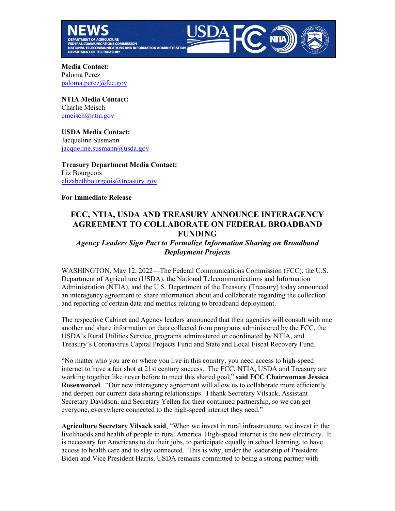



**Media Contact:**  Paloma Perez [paloma.perez@fcc.gov](mailto:paloma.perez@fcc.gov)

**NTIA Media Contact:** Charlie Meisch [cmeisch@ntia.gov](mailto:cmeisch@ntia.gov)

**USDA Media Contact:**  Jacqueline Susmann [jacqueline.susmann@usda.gov](mailto:jacqueline.susmann@usda.gov)

**Treasury Department Media Contact:**  Liz Bourgeois [elizabethbourgeois@treasury.gov](mailto:elizabethbourgeois@treasury.gov)

## **For Immediate Release**

## **FCC, NTIA, USDA AND TREASURY ANNOUNCE INTERAGENCY AGREEMENT TO COLLABORATE ON FEDERAL BROADBAND FUNDING**

## *Agency Leaders Sign Pact to Formalize Information Sharing on Broadband Deployment Projects*

WASHINGTON, May 12, 2022—The Federal Communications Commission (FCC), the U.S. Department of Agriculture (USDA), the National Telecommunications and Information Administration (NTIA), and the U.S. Department of the Treasury (Treasury) today announced an interagency agreement to share information about and collaborate regarding the collection and reporting of certain data and metrics relating to broadband deployment.

The respective Cabinet and Agency leaders announced that their agencies will consult with one another and share information on data collected from programs administered by the FCC, the USDA's Rural Utilities Service, programs administered or coordinated by NTIA, and Treasury's Coronavirus Capital Projects Fund and State and Local Fiscal Recovery Fund.

"No matter who you are or where you live in this country, you need access to high-speed internet to have a fair shot at 21st century success. The FCC, NTIA, USDA and Treasury are working together like never before to meet this shared goal," **said FCC Chairwoman Jessica Rosenworcel**. "Our new interagency agreement will allow us to collaborate more efficiently and deepen our current data sharing relationships. I thank Secretary Vilsack, Assistant Secretary Davidson, and Secretary Yellen for their continued partnership, so we can get everyone, everywhere connected to the high-speed internet they need."

**Agriculture Secretary Vilsack said**, "When we invest in rural infrastructure, we invest in the livelihoods and health of people in rural America. High-speed internet is the new electricity. It is necessary for Americans to do their jobs, to participate equally in school learning, to have access to health care and to stay connected. This is why, under the leadership of President Biden and Vice President Harris, USDA remains committed to being a strong partner with